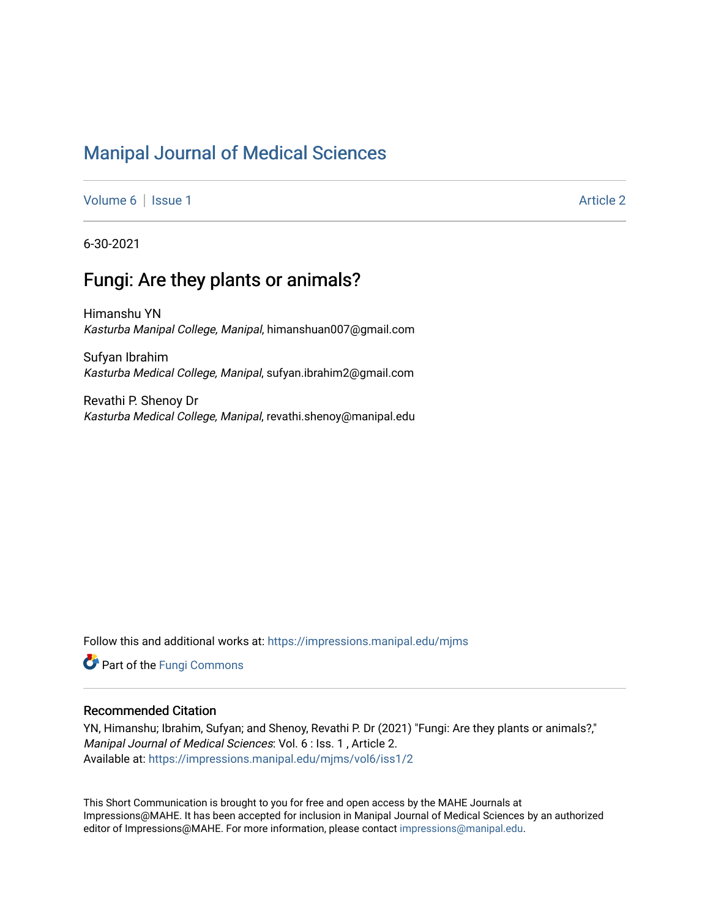# [Manipal Journal of Medical Sciences](https://impressions.manipal.edu/mjms)

[Volume 6](https://impressions.manipal.edu/mjms/vol6) | [Issue 1](https://impressions.manipal.edu/mjms/vol6/iss1) Article 2

6-30-2021

# Fungi: Are they plants or animals?

Himanshu YN Kasturba Manipal College, Manipal, himanshuan007@gmail.com

Sufyan Ibrahim Kasturba Medical College, Manipal, sufyan.ibrahim2@gmail.com

Revathi P. Shenoy Dr Kasturba Medical College, Manipal, revathi.shenoy@manipal.edu

Follow this and additional works at: [https://impressions.manipal.edu/mjms](https://impressions.manipal.edu/mjms?utm_source=impressions.manipal.edu%2Fmjms%2Fvol6%2Fiss1%2F2&utm_medium=PDF&utm_campaign=PDFCoverPages)

**Part of the [Fungi Commons](http://network.bepress.com/hgg/discipline/962?utm_source=impressions.manipal.edu%2Fmjms%2Fvol6%2Fiss1%2F2&utm_medium=PDF&utm_campaign=PDFCoverPages)** 

### Recommended Citation

YN, Himanshu; Ibrahim, Sufyan; and Shenoy, Revathi P. Dr (2021) "Fungi: Are they plants or animals?," Manipal Journal of Medical Sciences: Vol. 6 : Iss. 1 , Article 2. Available at: [https://impressions.manipal.edu/mjms/vol6/iss1/2](https://impressions.manipal.edu/mjms/vol6/iss1/2?utm_source=impressions.manipal.edu%2Fmjms%2Fvol6%2Fiss1%2F2&utm_medium=PDF&utm_campaign=PDFCoverPages)

This Short Communication is brought to you for free and open access by the MAHE Journals at Impressions@MAHE. It has been accepted for inclusion in Manipal Journal of Medical Sciences by an authorized editor of Impressions@MAHE. For more information, please contact [impressions@manipal.edu](mailto:impressions@manipal.edu).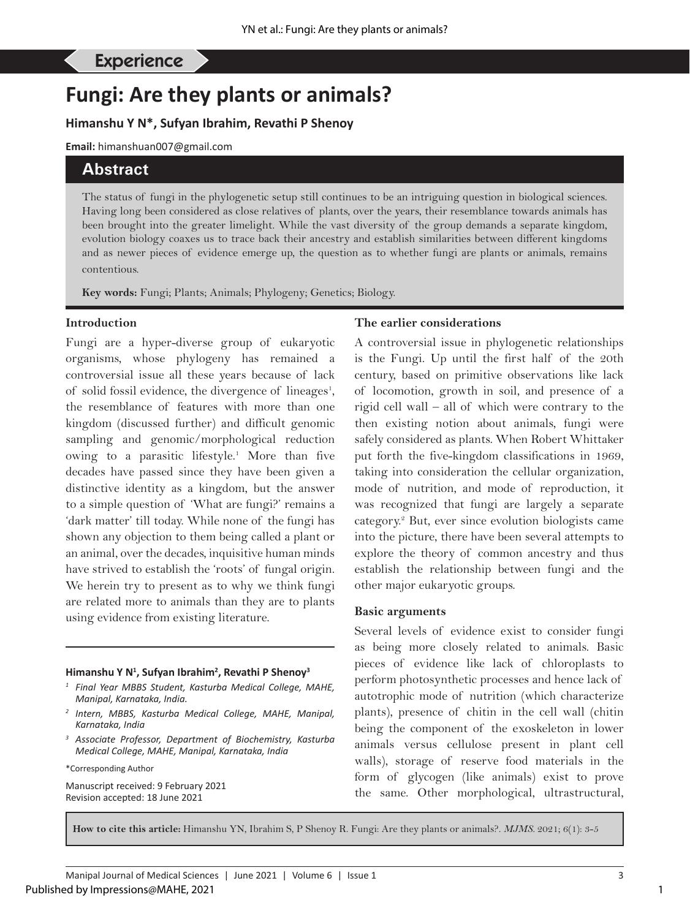# **Fungi: Are they plants or animals?**

# **Himanshu Y N\*, Sufyan Ibrahim, Revathi P Shenoy**

**Email:** himanshuan007@gmail.com

# **Abstract**

The status of fungi in the phylogenetic setup still continues to be an intriguing question in biological sciences. Having long been considered as close relatives of plants, over the years, their resemblance towards animals has been brought into the greater limelight. While the vast diversity of the group demands a separate kingdom, evolution biology coaxes us to trace back their ancestry and establish similarities between different kingdoms and as newer pieces of evidence emerge up, the question as to whether fungi are plants or animals, remains contentious.

**Key words:** Fungi; Plants; Animals; Phylogeny; Genetics; Biology.

#### **Introduction**

Fungi are a hyper-diverse group of eukaryotic organisms, whose phylogeny has remained a controversial issue all these years because of lack of solid fossil evidence, the divergence of lineages<sup>1</sup>, the resemblance of features with more than one kingdom (discussed further) and difficult genomic sampling and genomic/morphological reduction owing to a parasitic lifestyle.<sup>1</sup> More than five decades have passed since they have been given a distinctive identity as a kingdom, but the answer to a simple question of 'What are fungi?' remains a 'dark matter' till today. While none of the fungi has shown any objection to them being called a plant or an animal, over the decades, inquisitive human minds have strived to establish the 'roots' of fungal origin. We herein try to present as to why we think fungi are related more to animals than they are to plants using evidence from existing literature.

#### **Himanshu Y N1 , Sufyan Ibrahim2 , Revathi P Shenoy3**

- *<sup>1</sup> Final Year MBBS Student, Kasturba Medical College, MAHE, Manipal, Karnataka, India.*
- *<sup>2</sup> Intern, MBBS, Kasturba Medical College, MAHE, Manipal, Karnataka, India*
- *<sup>3</sup> Associate Professor, Department of Biochemistry, Kasturba Medical College, MAHE, Manipal, Karnataka, India*
- \*Corresponding Author

Manuscript received: 9 February 2021 Revision accepted: 18 June 2021

### **The earlier considerations**

A controversial issue in phylogenetic relationships is the Fungi. Up until the first half of the 20th century, based on primitive observations like lack of locomotion, growth in soil, and presence of a rigid cell wall – all of which were contrary to the then existing notion about animals, fungi were safely considered as plants. When Robert Whittaker put forth the five-kingdom classifications in 1969, taking into consideration the cellular organization, mode of nutrition, and mode of reproduction, it was recognized that fungi are largely a separate category.2 But, ever since evolution biologists came into the picture, there have been several attempts to explore the theory of common ancestry and thus establish the relationship between fungi and the other major eukaryotic groups.

#### **Basic arguments**

Several levels of evidence exist to consider fungi as being more closely related to animals. Basic pieces of evidence like lack of chloroplasts to perform photosynthetic processes and hence lack of autotrophic mode of nutrition (which characterize plants), presence of chitin in the cell wall (chitin being the component of the exoskeleton in lower animals versus cellulose present in plant cell walls), storage of reserve food materials in the form of glycogen (like animals) exist to prove the same. Other morphological, ultrastructural,

**How to cite this article:** Himanshu YN, Ibrahim S, P Shenoy R. Fungi: Are they plants or animals?. *MJMS.* 2021; 6(1): 3-5

1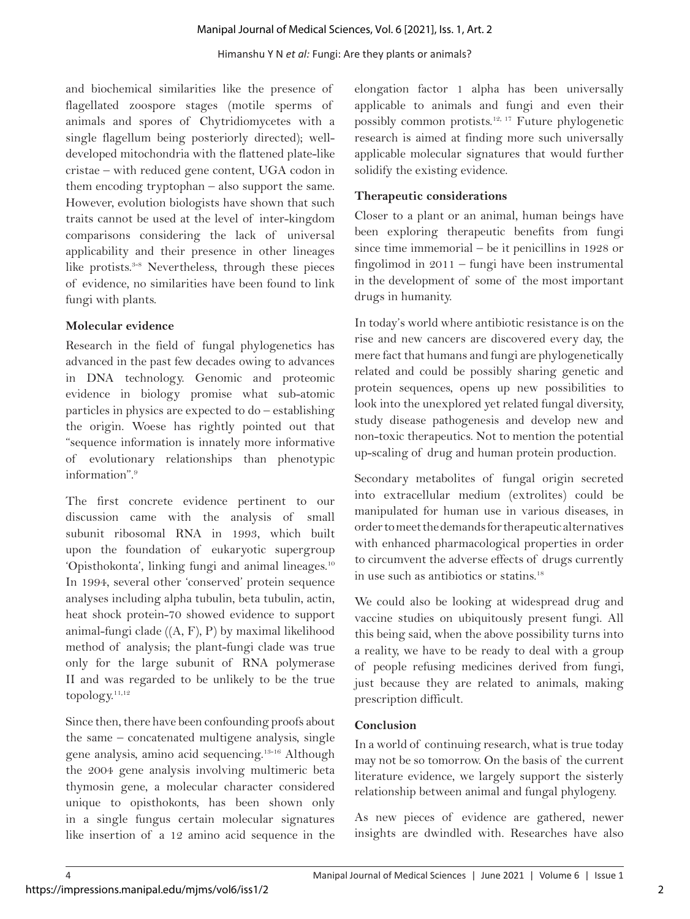#### Himanshu Y N *et al:* Fungi: Are they plants or animals?

and biochemical similarities like the presence of flagellated zoospore stages (motile sperms of animals and spores of Chytridiomycetes with a single flagellum being posteriorly directed); welldeveloped mitochondria with the flattened plate-like cristae – with reduced gene content, UGA codon in them encoding tryptophan – also support the same. However, evolution biologists have shown that such traits cannot be used at the level of inter-kingdom comparisons considering the lack of universal applicability and their presence in other lineages like protists.<sup>3-8</sup> Nevertheless, through these pieces of evidence, no similarities have been found to link fungi with plants.

## **Molecular evidence**

Research in the field of fungal phylogenetics has advanced in the past few decades owing to advances in DNA technology. Genomic and proteomic evidence in biology promise what sub-atomic particles in physics are expected to do – establishing the origin. Woese has rightly pointed out that "sequence information is innately more informative of evolutionary relationships than phenotypic information".9

The first concrete evidence pertinent to our discussion came with the analysis of small subunit ribosomal RNA in 1993, which built upon the foundation of eukaryotic supergroup 'Opisthokonta', linking fungi and animal lineages.10 In 1994, several other 'conserved' protein sequence analyses including alpha tubulin, beta tubulin, actin, heat shock protein-70 showed evidence to support animal-fungi clade ((A, F), P) by maximal likelihood method of analysis; the plant-fungi clade was true only for the large subunit of RNA polymerase II and was regarded to be unlikely to be the true topology. $11,12$ 

Since then, there have been confounding proofs about the same – concatenated multigene analysis, single gene analysis, amino acid sequencing.13-16 Although the 2004 gene analysis involving multimeric beta thymosin gene, a molecular character considered unique to opisthokonts, has been shown only in a single fungus certain molecular signatures like insertion of a 12 amino acid sequence in the

elongation factor 1 alpha has been universally applicable to animals and fungi and even their possibly common protists.12, 17 Future phylogenetic research is aimed at finding more such universally applicable molecular signatures that would further solidify the existing evidence.

# **Therapeutic considerations**

Closer to a plant or an animal, human beings have been exploring therapeutic benefits from fungi since time immemorial – be it penicillins in 1928 or fingolimod in 2011 – fungi have been instrumental in the development of some of the most important drugs in humanity.

In today's world where antibiotic resistance is on the rise and new cancers are discovered every day, the mere fact that humans and fungi are phylogenetically related and could be possibly sharing genetic and protein sequences, opens up new possibilities to look into the unexplored yet related fungal diversity, study disease pathogenesis and develop new and non-toxic therapeutics. Not to mention the potential up-scaling of drug and human protein production.

Secondary metabolites of fungal origin secreted into extracellular medium (extrolites) could be manipulated for human use in various diseases, in order to meet the demands for therapeutic alternatives with enhanced pharmacological properties in order to circumvent the adverse effects of drugs currently in use such as antibiotics or statins.<sup>18</sup>

We could also be looking at widespread drug and vaccine studies on ubiquitously present fungi. All this being said, when the above possibility turns into a reality, we have to be ready to deal with a group of people refusing medicines derived from fungi, just because they are related to animals, making prescription difficult.

## **Conclusion**

In a world of continuing research, what is true today may not be so tomorrow. On the basis of the current literature evidence, we largely support the sisterly relationship between animal and fungal phylogeny.

As new pieces of evidence are gathered, newer insights are dwindled with. Researches have also